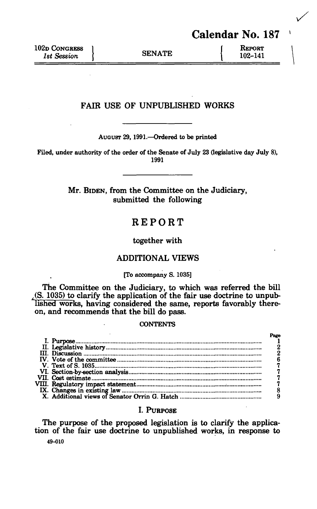Calendar No. 187

# FAIR USE OF UNPUBLISHED WORKS

**AUGUST 29, 1991.—Ordered to be printed** 

**Filed, under authority of the order of the Senate of July 23 (legislative day July 8), 1991** 

> Mr. BIDEN, from the Committee on the Judiciary, submitted the following

# REPORT

together with

# ADDITIONAL VIEWS

#### **[To accompany S. 1035]**

The Committee on the Judiciary, to which was referred the bill  $($ S. 1035 $)$  to clarify the application of the fair use doctrine to unpublished works, having considered the same, reports favorably thereon, and recommends that the bill do pass.

## **CONTENTS**

# I. PURPOSE

The purpose of the proposed legislation is to clarify the application of the fair use doctrine to unpublished works, in response to

**49-010**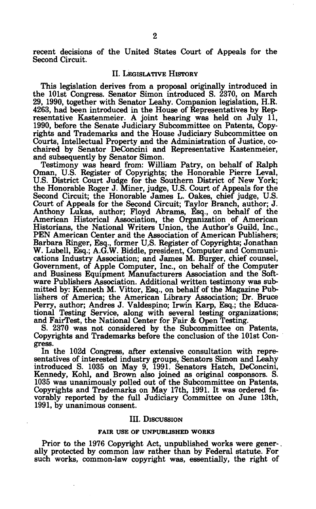recent decisions of the United States Court of Appeals for the Second Circuit.

#### II. LEGISLATIVE HISTORY

This legislation derives from a proposal originally introduced in the 101st Congress. Senator Simon introduced S. 2370, on March 29, 1990, together with Senator Leahy. Companion legislation, H.R. 4263, had been introduced in the House of Representatives by Representative Kastenmeier. A joint hearing was held on July 11, 1990, before the Senate Judiciary Subcommittee on Patents, Copyrights and Trademarks and the House Judiciary Subcommittee on Courts, Intellectual Property and the Administration of Justice, cochaired by Senator DeConcini and Representative Kastenmeier, and subsequently by Senator Simon.

Testimony was heard from: William Patry, on behalf of Ralph Oman, U.S. Register of Copyrights; the Honorable Pierre Leval, U.S. District Court Judge for the Southern District of New York; the Honorable Roger J. Miner, judge, U.S. Court of Appeals for the Second Circuit; the Honorable James L. Oakes, chief judge, U.S. Court of Appeals for the Second Circuit; Taylor Branch, author; J. Anthony Lukas, author; Floyd Abrams, Esq., on behalf of the American Historical Association, the Organization of American Historians, the National Writers Union, the Author's Guild, Inc., PEN American Center and the Association of American Publishers; Barbara Ringer, Esq., former U,S. Register of Copyrights; Jonathan W. Lubell, Esq.; A.G.W. Biddle, president, Computer and Communications Industry Association; and James M. Burger, chief counsel, Government, of Apple Computer, Inc., on behalf of the Computer and Business Equipment Manufacturers Association and the Software Publishers Association. Additional written testimony was submitted by: Kenneth M. Vittor, Esq., on behalf of the Magazine Publishers of America; the American Library Association; Dr. Bruce Perry, author; Andres J. Valdespino; Irwin Karp, Esq.; the Educational Testing Service, along with several testing organizations; and FairTest, the National Center for Fair & Open Testing.

S. 2370 was not considered by the Subcommittee on Patents, Copyrights and Trademarks before the conclusion of the 101st Congress.

In the 102d Congress, after extensive consultation with representatives of interested industry groups, Senators Simon and Leahy introduced S. 1035 on May 9, 1991. Senators Hatch, DeConcini, Kennedy, Kohl, and Brown also joined as original cosponsors. S. 1035 was unanimously polled out of the Subcommittee on Patents, Copyrights and Trademarks on May 17th, 1991. It was ordered favorably reported by the full Judiciary Committee on June 13th, 1991, by unanimous consent.

#### III. DISCUSSION

#### **FAIR USE OP UNPUBLISHED WORKS**

Prior to the 1976 Copyright Act, unpublished works were gener-. ally protected by common law rather than by Federal statute. For such works, common-law copyright was, essentially, the right of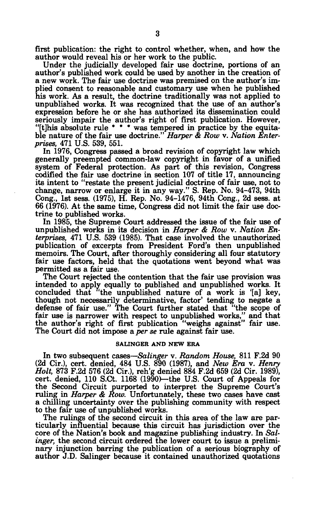first publication: the right to control whether, when, and how the author would reveal his or her work to the public.

Under the judicially developed fair use doctrine, portions of an author's published work could be used by another in the creation of a new work. The fair use doctrine was premised on the author's implied consent to reasonable and customary use when he published his work. As a result, the doctrine traditionally was not applied to unpublished works. It was recognized that the use of an author's expression before he or she has authorized its dissemination could seriously impair the author's right of first publication. However, "[this absolute rule \* \* \* was tempered in practice by the equitable nature of the fair use doctrine." *Harper & Row* v. *Nation Enterprises,* 471 U.S. 539, 551.

In 1976, Congress passed a broad revision of copyright law which generally preempted common-law copyright in favor of a unified system of Federal protection. As part of this revision, Congress codified the fair use doctrine in section 107 of title 17, announcing its intent to "restate the present judicial doctrine of fair use, not to change, narrow or enlarge it in any way." S. Rep. No. 94-473, 94th Cong., 1st sess. (1975), H. Rep. No. 94-1476, 94th Cong., 2d sess. at 66 (1976). At the same time, Congress did not limit the fair use doctrine to published works.

In 1985, the Supreme Court addressed the issue of the fair use of unpublished works in its decision in *Harper & Row* v. *Nation Enterprises,* 471 U.S. 539 (1985). That case involved the unauthorized publication of excerpts from President Ford's then unpublished memoirs. The Court, after thoroughly considering all four statutory fair use factors, held that the quotations went beyond what was permitted as a fair use.

The Court rejected the contention that the fair use provision was intended to apply equally to published and unpublished works. It concluded that "the unpublished nature of a work is '[a] key, though not necessarily determinative, factor' tending to negate a defense of fair use." The Court further stated that "the scope of fair use is narrower with respect to unpublished works," and that the author's right of first publication "weighs against" fair use. The Court did not impose a *per se* rule against fair use.

#### **SALINGER AND NEW ERA**

In two subsequent cases—*Salinger* v. *Random House,* 811 F.2d 90 (2d Cir.), cert, denied, 484 U.S. 890 (1987), and *New Era* v. *Henry Holt,* 873 F.2d 576 (2d Cir.), reh'g denied 884 F.2d 659 (2d Cir. 1989), cert, denied, 110 S.Ct. 1168 (1990)—the U.S. Court of Appeals for the Second Circuit purported to interpret the Supreme Court's ruling in *Harper & Row.* Unfortunately, these two cases have cast a chilling uncertainty over the publishing community with respect to the fair use of unpublished works.

The rulings of the second circuit in this area of the law are particularly influential because this circuit has jurisdiction over the core of the Nation's book and magazine publishing industry. In *Sal*inger, the second circuit ordered the lower court to issue a preliminary injunction barring the publication of a serious biography of author J.D. Salinger because it contained unauthorized quotations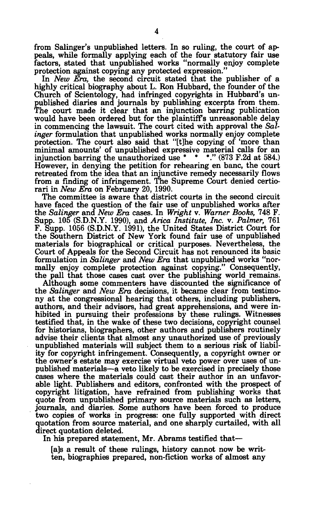from Salinger's unpublished letters. In so ruling, the court of appeals, while formally applying each of the four statutory fair use factors, stated that unpublished works "normally enjoy complete protection against copying any protected expression."

In *New Era,* the second circuit stated that the publisher of a highly critical biography about L. Ron Hubbard, the founder of the Church of Scientology, had infringed copyrights in Hubbard's unpublished diaries and journals by publishing excerpts from them. The court made it clear that an injunction barring publication would have been ordered but for the plaintiff's unreasonable delay in commencing the lawsuit. The court cited with approval the *Salinger* formulation that unpublished works normally enjoy complete protection. The court also said that "[t]he copying of 'more than minimal amounts' of unpublished expressive material calls for an injunction barring the unauthorized use \* \* \*." (873 F.2d at 584.) However, in denying the petition for rehearing en banc, the court retreated from the idea that an injunctive remedy necessarily flows from a finding of infringement. The Supreme Court denied certiorari in *New Era* on February 20, 1990.

The committee is aware that district courts in the second circuit have faced the question of the fair use of unpublished works after the *Salinger* and *New Era* cases. In *Wright* v. *Warner Books,* 748 F. Supp. 105 (S.D.N.Y. 1990), and *Arica Institute, Inc.* v. *Palmer,* 761 F. Supp. 1056 (S.D.N.Y. 1991), the United States District Court for the Southern District of New York found fair use of unpublished materials for biographical or critical purposes. Nevertheless, the Court of Appeals for the Second Circuit has not renounced its basic formulation in *Salinger* and *New Era* that unpublished works "normally enjoy complete protection against copying." Consequently, the pall that those cases cast over the publishing world remains.

Although some commenters have discounted the significance of the *Salinger* and *New Era* decisions, it became clear from testimony at the congressional hearing that others, including publishers, authors, and their advisors, had great apprehensions, and were inhibited in pursuing their professions by these rulings. Witnesses testified that, in the wake of these two decisions, copyright counsel for historians, biographers, other authors and publishers routinely advise their clients that almost any unauthorized use of previously unpublished materials will subject them to a serious risk of liability for copyright infringement. Consequently, a copyright owner or the owner's estate may exercise virtual veto power over uses of unpublished materials—a veto likely to be exercised in precisely those cases where the materials could cast their author in an unfavorable light. Publishers and editors, confronted with the prospect of copyright litigation, have refrained from publishing works that quote from unpublished primary source materials such as letters, journals, and diaries. Some authors have been forced to produce two copies of works in progress: one fully supported with direct quotation from source material, and one sharply curtailed, with all direct quotation deleted.

In his prepared statement, Mr. Abrams testified that—

[a]s a result of these rulings, history cannot now be written, biographies prepared, non-fiction works of almost any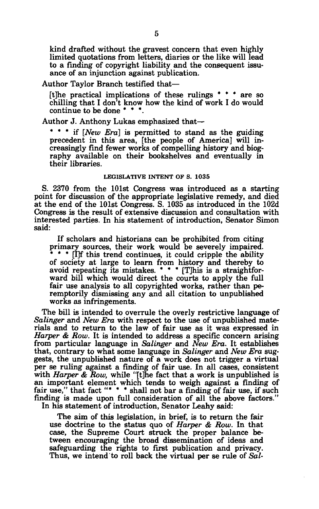kind drafted without the gravest concern that even highly limited quotations from letters, diaries or the like will lead to a finding of copyright liability and the consequent issuance of an injunction against publication.

## Author Taylor Branch testified that—

[t]he practical implications of these rulings \* \* \* are so chilling that I don't know how the kind of work I do would continue to be done \* \* \*.

Author J. Anthony Lukas emphasized that—

\* \* \* if *[New Era]* is permitted to stand as the guiding precedent in this area, [the people of America] will increasingly find fewer works of compelling history and biography available on their bookshelves and eventually in their libraries.

## **LEGISLATIVE INTENT OF S. 1035**

S. 2370 from the 101st Congress was introduced as a starting point for discussion of the appropriate legislative remedy, and died at the end of the 101st Congress. S. 1035 as introduced in the 102d Congress is the result of extensive discussion and consultation with interested parties. In his statement of introduction, Senator Simon said:

If scholars and historians can be prohibited from citing primary sources, their work would be severely impaired. \* \* \* [I]f this trend continues, it could cripple the ability of society at large to learn from history and thereby to avoid repeating its mistakes. \* \* \* [T]his is a straightforward bill which would direct the courts to apply the full fair use analysis to all copyrighted works, rather than peremptorily dismissing any and all citation to unpublished works as infringements.

The bill is intended to overrule the overly restrictive language of *Salinger* and *New Era* with respect to the use of unpublished materials and to return to the law of fair use as it was expressed in *Harper & Row.* It is intended to address a specific concern arising from particular language in *Salinger* and *New Era.* It establishes that, contrary to what some language in *Salinger* and *New Era* suggests, the unpublished nature of a work does not trigger a virtual per se ruling against a finding of fair use. In all cases, consistent with *Harper & Row,* while "[t]he fact that a work is unpublished is an important element which tends to weigh against a finding of fair use," that fact "\* \* \* shall not bar a finding of fair use, if such finding is made upon full consideration of all the above factors." In his statement of introduction, Senator Leahy said:

The aim of this legislation, in brief, is to return the fair use doctrine to the status quo of *Harper & Row.* In that case, the Supreme Court struck the proper balance between encouraging the broad dissemination of ideas and safeguarding the rights to first publication and privacy. Thus, we intend to roll back the virtual per se rule of *Sal-*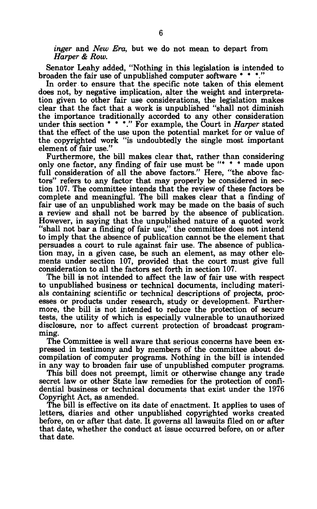*inger* and *New Era,* but we do not mean to depart from *Harper & Row.* 

Senator Leahy added, "Nothing in this legislation is intended to broaden the fair use of unpublished computer software \* \* \*.

In order to ensure that the specific note taken of this element does not, by negative implication, alter the weight and interpretation given to other fair use considerations, the legislation makes clear that the fact that a work is unpublished "shall not diminish the importance traditionally accorded to any other consideration under this section \* \* \*." For example, the Court in *Harper* stated that the effect of the use upon the potential market for or value of the copyrighted work "is undoubtedly the single most important element of fair use."

Furthermore, the bill makes clear that, rather than considering only one factor, any finding of fair use must be "\* \* \* made upon full consideration of all the above factors." Here, "the above factors" refers to any factor that may properly be considered in section 107. The committee intends that the review of these factors be complete and meaningful. The bill makes clear that a finding of fair use of an unpublished work may be made on the basis of such a review and shall not be barred by the absence of publication. However, in saying that the unpublished nature of a quoted work "shall not bar a finding of fair use," the committee does not intend to imply that the absence of publication cannot be the element that persuades a court to rule against fair use. The absence of publication may, in a given case, be such an element, as may other elements under section 107, provided that the court must give full consideration to all the factors set forth in section 107.

The bill is not intended to affect the law of fair use with respect to unpublished business or technical documents, including materials containing scientific or technical descriptions of projects, processes or products under research, study or development. Furthermore, the bill is not intended to reduce the protection of secure tests, the utility of which is especially vulnerable to unauthorized disclosure, nor to affect current protection of broadcast programming.

The Committee is well aware that serious concerns have been expressed in testimony and by members of the committee about decompilation of computer programs. Nothing in the bill is intended in any way to broaden fair use of unpublished computer programs.

This bill does not preempt, limit or otherwise change any trade secret law or other State law remedies for the protection of confidential business or technical documents that exist under the 1976 Copyright Act, as amended.

The bill is effective on its date of enactment. It applies to uses of letters, diaries and other unpublished copyrighted works created before, on or after that date. It governs all lawsuits filed on or after that date, whether the conduct at issue occurred before, on or after that date.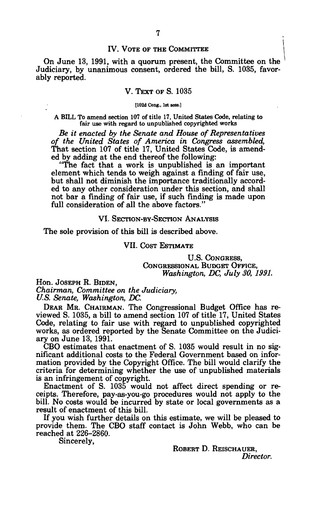### IV. VOTE OF THE COMMITTEE

On June 13, 1991, with a quorum present, the Committee on the Judiciary, by unanimous consent, ordered the bill, S. 1035, favorably reported.

### V. TEXT OF S. 1035

#### **[102d Cong., 1st Bess.]**

#### A BILL To amend section 107 of title 17, United States Code, relating to fair use with regard to unpublished copyrighted works

*Be it enacted by the Senate and House of Representatives of the United States of America in Congress assembled,*  That section 107 of title 17, United States Code, is amended by adding at the end thereof the following:

"The fact that a work is unpublished is an important element which tends to weigh against a finding of fair use, but shall not diminish the importance traditionally accorded to any other consideration under this section, and shall not bar a finding of fair use, if such finding is made upon full consideration of all the above factors."

## VI. SECTION-BY-SECTION ANALYSIS

The sole provision of this bill is described above.

VII. COST ESTIMATE

U.S. CONGRESS, CONGRESSIONAL BUDGET OFFICE, *Washington, DC, July SO, 1991.* 

Hon. JOSEPH R. BIDEN, *Chairman, Committee on the Judiciary, U.S. Senate, Washington, DC.* 

DEAR MR. CHAIRMAN. The Congressional Budget Office has reviewed S. 1035, a bill to amend section 107 of title 17, United States Code, relating to fair use with regard to unpublished copyrighted works, as ordered reported by the Senate Committee on the Judiciary on June 13, 1991.

CBO estimates that enactment of S. 1035 would result in no significant additional costs to the Federal Government based on information provided by the Copyright Office. The bill would clarify the criteria for determining whether the use of unpublished materials is an infringement of copyright.

Enactment of S. 1035 would not affect direct spending or receipts. Therefore, pay-as-you-go procedures would not apply to the bill. No costs would be incurred by state or local governments as a result of enactment of this bill.

If you wish further details on this estimate, we will be pleased to provide them. The CBO staff contact is John Webb, who can be reached at 226-2860.

Sincerely,

ROBERT D. REISCHAUER, *Director.*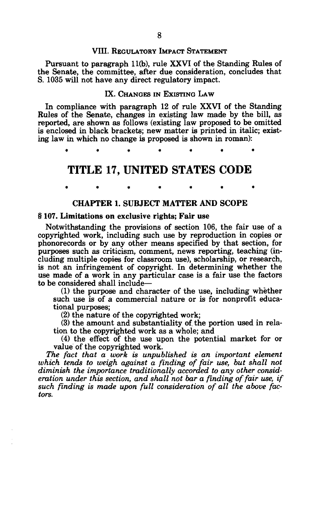# VIII. REGULATORY IMPACT STATEMENT

Pursuant to paragraph 11(b), rule XXVI of the Standing Rules of the Senate, the committee, after due consideration, concludes that S. 1035 will not have any direct regulatory impact.

## IX. CHANGES IN EXISTING LAW

In compliance with paragraph 12 of rule XXVI of the Standing Rules of the Senate, changes in existing law made by the bill, as reported, are shown as follows (existing law proposed to be omitted is enclosed in black brackets; new matter is printed in italic; existing law in which no change is proposed is shown in roman):

**\*\*\*\*\*\* \*** 

# **TITLE 17, UNITED STATES CODE**

\* \* \* \* \* \* \*

# **CHAPTER 1. SUBJECT MATTER AND SCOPE**

# § **107. Limitations on exclusive** rights; **Fair** use

Notwithstanding the provisions of section 106, the fair use of a copyrighted work, including such use by reproduction in copies or phonorecords or by any other means specified by that section, for purposes such as criticism, comment, news reporting, teaching (including multiple copies for classroom use), scholarship, or research, is not an infringement of copyright. In determining whether the use made of a work in any particular case is a fair use the factors to be considered shall include—

(1) the purpose and character of the use, including whether such use is of a commercial nature or is for nonprofit educational purposes;

(2) the nature of the copyrighted work;

(3) the amount and substantiality of. the portion used in relation to the copyrighted work as a whole; and

(4) the effect of the use upon the potential market for or value of the copyrighted work.

*The fact that a work is unpublished is an important element which tends to weigh against a finding of fair use, but shall not diminish the importance traditionally accorded to any other consideration under this section, and shall not bar a finding of fair use, if such finding is made upon full consideration of all the above factors.*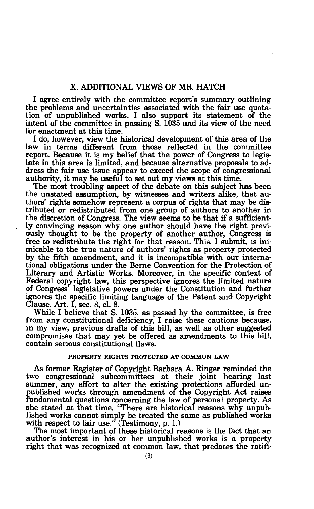I agree entirely with the committee report's summary outlining the problems and uncertainties associated with the fair use quotation of unpublished works. I also support its statement of the intent of the committee in passing S. 1035 and its view of the need for enactment at this time.

I do, however, view the historical development of this area of the law in terms different from those reflected in the committee report. Because it is my belief that the power of Congress to legislate in this area is limited, and because alternative proposals to address the fair use issue appear to exceed the scope of congressional authority, it may be useful to set out my views at this time.

The most troubling aspect of the debate on this subject has been the unstated assumption, by witnesses and writers alike, that authors' rights somehow represent a corpus of rights that may be distributed or redistributed from one group of authors to another in the discretion of Congress. The view seems to be that if a sufficiently convincing reason why one author should have the right previously thought to be the property of another author, Congress is free to redistribute the right for that reason. This, I submit, is inimicable to the true nature of authors' rights as property protected by the fifth amendment, and it is incompatible with our international obligations under the Berne Convention for the Protection of Literary and Artistic Works. Moreover, in the specific context of Federal copyright law, this perspective ignores the limited nature of Congress' legislative powers under the Constitution and further ignores the specific limiting language of the Patent and Copyright Clause. Art. I, sec. 8, cl. 8.

While I believe that S. 1035, as passed by the committee, is free from any constitutional deficiency, I raise these cautions because, in my view, previous drafts of this bill, as well as other suggested compromises that may yet be offered as amendments to this bill, contain serious constitutional flaws.

#### **PROPERTY RIGHTS PROTECTED AT COMMON LAW**

As former Register of Copyright Barbara A. Ringer reminded the two congressional subcommittees at their joint hearing last summer, any effort to alter the existing protections afforded unpublished works through amendment of the Copyright Act raises fundamental questions concerning the law of personal property. As she stated at that time, "There are historical reasons why unpublished works cannot simply be treated the same as published works with respect to fair use." (Testimony, p. 1.)

The most important of these historical reasons is the fact that an author's interest in his or her unpublished works is a property right that was recognized at common law, that predates the ratifi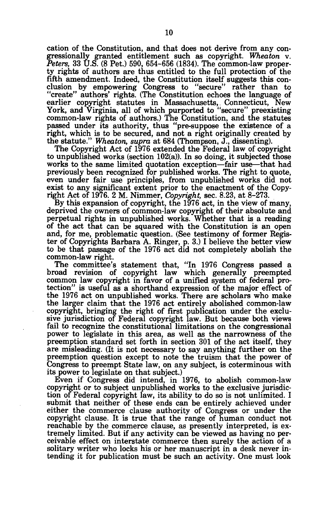cation of the Constitution, and that does not derive from any congressionally granted entitlement such as copyright. *Wheaton* v. *Peters,* 33 U.S. (8 Pet.) 590, 654-656 (1834). The common-law property rights of authors are thus entitled to the full protection of the fifth amendment. Indeed, the Constitution itself suggests this conclusion by empowering Congress to "secure" rather than to "create" authors' rights. (The Constitution echoes the language of earlier copyright statutes in Massachusetts, Connecticut, New York, and Virginia, all of which purported to "secure" preexisting common-law rights of authors.) The Constitution, and the statutes passed under its authority, thus "pre-suppose the existence of a right, which is to be secured, and not a right originally created by the statute." *Wheaton, supra* at 684 (Thompson, J., dissenting).

The Copyright Act of 1976 extended the Federal law of copyright to unpublished works (section 102(a)). In so doing, it subjected those works to the same limited quotation exception—fair use—that had previously been recognized for published works. The right to quote, even under fair use principles, from unpublished works did not exist to any significant extent prior to the enactment of the Copyright Act of 1976. 2 M. Nimmer, *Copyright,* sec. 8.23, at 8-273.

By this expansion of copyright, the 1976 act, in the view of many, deprived the owners of common-law copyright of their absolute and perpetual rights in unpublished works. Whether that is a reading of the act that can be squared with the Constitution is an open and, for me, problematic question. (See testimony of former Register of Copyrights Barbara A. Ringer, p. 3.) I believe the better view to be that passage of the 1976 act did not completely abolish the common-law right.

The committee's statement that, "In 1976 Congress passed a broad revision of copyright law which generally preempted common law copyright in favor of a unified system of federal protection" is useful as a shorthand expression of the major effect of the 1976 act on unpublished works. There are scholars who make the larger claim that the 1976 act entirely abolished common-law copyright, bringing the right of first publication under the exclusive jurisdiction of Federal copyright law. But because both views fail to recognize the constitutional limitations on the congressional power to legislate in this area, as well as the narrowness of the preemption standard set forth in section 301 of the act itself, they are misleading. (It is not necessary to say anything further on the preemption question except to note the truism that the power of Congress to preempt State law, on any subject, is coterminous with its power to legislate on that subject.)

Even if Congress did intend, in 1976, to abolish common-law copyright or to subject unpublished works to the exclusive jurisdiction of Federal copyright law, its ability to do so is not unlimited. I submit that neither of these ends can be entirely achieved under either the commerce clause authority of Congress or under the copyright clause. It is true that the range of human conduct not reachable by the commerce clause, as presently interpreted, is extremely limited. But if any activity can be viewed as having no perceivable effect on interstate commerce then surely the action of a solitary writer who locks his or her manuscript in a desk never intending it for publication must be such an activity. One must look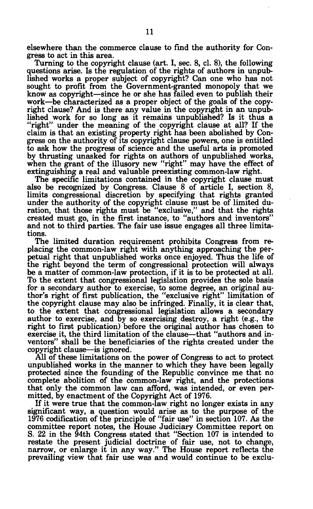elsewhere than the commerce clause to find the authority for Congress to act in this area.

Turning to the copyright clause (art. I, sec. 8, cl. 8), the following questions arise. Is the regulation of the rights of authors in unpublished works a proper subject of copyright? Can one who has not sought to profit from the Government-granted monopoly that we know as copyright—since he or she has failed even to publish their work—be characterized as a proper object of the goals of the copyright clause? And is there any value in the copyright in an unpublished work for so long as it remains unpublished? Is it thus a "right" under the meaning of the copyright clause at all? If the claim is that an existing property right has been abolished by Congress on the authority of its copyright clause powers, one is entitled to ask how the progress of science and the useful arts is promoted by thrusting unasked for rights on authors of unpublished works, when the grant of the illusory new "right" may have the effect of extinguishing a real and valuable preexisting common-law right.

The specific limitations contained in the copyright clause must also be recognized by Congress. Clause 8 of article I, section 8, limits congressional discretion by specifying that rights granted under the authority of the copyright clause must be of limited duration, that those rights must be "exclusive," and that the rights created must go, in the first instance, to "authors and inventors" and not to third parties. The fair use issue engages all three limitations.

The limited duration requirement prohibits Congress from replacing the common-law right with anything approaching the perpetual right that unpublished works once enjoyed. Thus the life of the right beyond the term of congressional protection will always be a matter of common-law protection, if it is to be protected at all. To the extent that congressional legislation provides the sole basis for a secondary author to exercise, to some degree, an original author's right of first publication, the "exclusive right" limitation of the copyright clause may also be infringed. Finally, it is clear that, to the extent that congressional legislation allows a secondary author to exercise, and by so exercising destroy, a right (e.g., the right to first publication) before the original author has chosen to exercise it, the third limitation of the clause—that "authors and inventors" shall be the beneficiaries of the rights created under the copyright clause—is ignored.

All of these limitations on the power of Congress to act to protect unpublished works in the manner to which they have been legally protected since the founding of the Republic convince me that no complete abolition of the common-law right, and the protections that only the common law can afford, was intended, or even permitted, by enactment of the Copyright Act of 1976.

If it were true that the common-law right no longer exists in any significant way, a question would arise as to the purpose of the 1976 codification of the principle of "fair use" in section 107. As the committee report notes, the House Judiciary Committee report on S. 22 in the 94th Congress stated that "Section 107 is intended to restate the present judicial doctrine of fair use, not to change, narrow, or enlarge it in any way." The House report reflects the prevailing view that fair use was and would continue to be exclu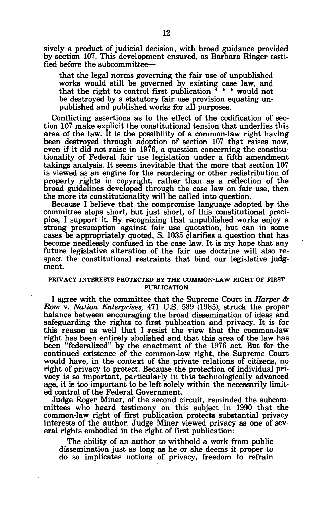sively a product of judicial decision, with broad guidance provided by section 107. This development ensured, as Barbara Ringer testified before the subcommittee—

that the legal norms governing the fair use of unpublished works would still be governed by existing case law, and that the right to control first publication  $* * *$  would not be destroyed by a statutory fair use provision equating unpublished and published works for all purposes.

Conflicting assertions as to the effect of the codification of section 107 make explicit the constitutional tension that underlies this area of the law. It is the possibility of a common-law right having been destroyed through adoption of section 107 that raises now, even if it did not raise in 1976, a question concerning the constitutionality of Federal fair use legislation under a fifth amendment takings analysis. It seems inevitable that the more that section 107 is viewed as an engine for the reordering or other redistribution of property rights in copyright, rather than as a reflection of the broad guidelines developed through the case law on fair use, then the more its constitutionality will be called into question.

Because I believe that the compromise language adopted by the committee stops short, but just short, of this constitutional precipice, I support it. By recognizing that unpublished works enjoy a strong presumption against fair use quotation, but can in some cases be appropriately quoted, S. 1035 clarifies a question that has become needlessly confused in the case law. It is my hope that any future legislative alteration of the fair use doctrine will also respect the constitutional restraints that bind our legislative judgment.

## **PRIVACY INTERESTS PROTECTED BY THE COMMON-LAW RIGHT OF FIRST PUBLICATION**

I agree with the committee that the Supreme Court in *Harper & Row* v. *Nation Enterprises,* 471 U.S. 539 (1985), struck the proper balance between encouraging the broad dissemination of ideas and safeguarding the rights to first publication and privacy. It is for this reason as well that I resist the view that the common-law right has been entirely abolished and that this area of the law has been "federalized" by the enactment of the 1976 act. But for the continued existence of the common-law right, the Supreme Court would have, in the context of the private relations of citizens, no right of privacy to protect. Because the protection of individual privacy is so important, particularly in this technologically advanced age, it is too important to be left solely within the necessarily limited control of the Federal Government.

Judge Roger Miner, of the second circuit, reminded the subcommittees who heard testimony on this subject in 1990 that the common-law right of first publication protects substantial privacy interests of the author. Judge Miner viewed privacy as one of several rights embodied in the right of first publication:

The ability of an author to withhold a work from public dissemination just as long as he or she deems it proper to do so implicates notions of privacy, freedom to refrain